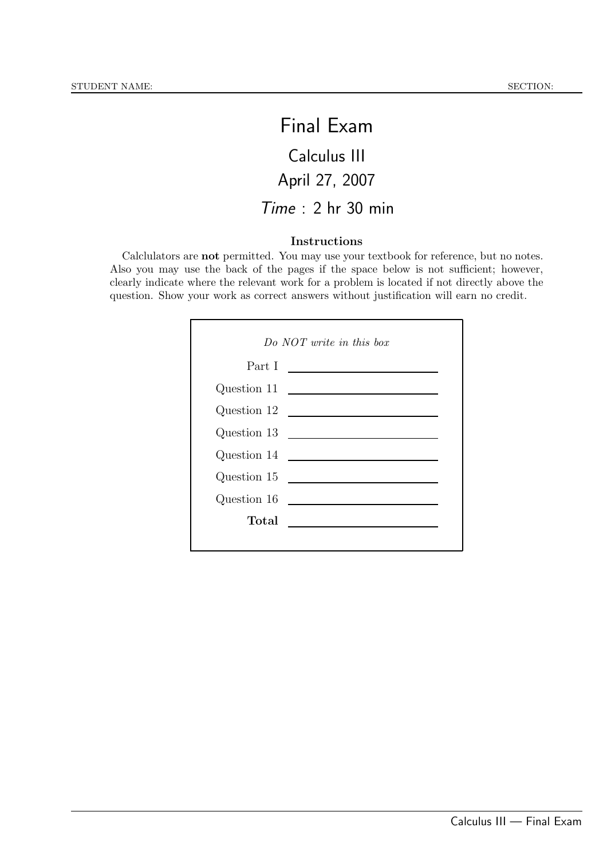## Final Exam

# Calculus III April 27, 2007

## Time : 2 hr 30 min

#### Instructions

Calclulators are not permitted. You may use your textbook for reference, but no notes. Also you may use the back of the pages if the space below is not sufficient; however, clearly indicate where the relevant work for a problem is located if not directly above the question. Show your work as correct answers without justification will earn no credit.

| Do $NOT$ write in this box |                                                           |  |
|----------------------------|-----------------------------------------------------------|--|
|                            | Part I                                                    |  |
| Question 11                | <u> 1989 - Andrea Station Books, amerikansk politik (</u> |  |
| Question 12                | <u> 1980 - Andrea Maria Alemania, pre</u>                 |  |
|                            | Question 13 $\qquad \qquad$                               |  |
| Question 14                | <u> 1989 - Johann Stein, mars an deus Fran</u>            |  |
| Question 15                |                                                           |  |
| Question 16                |                                                           |  |
| Total                      |                                                           |  |
|                            |                                                           |  |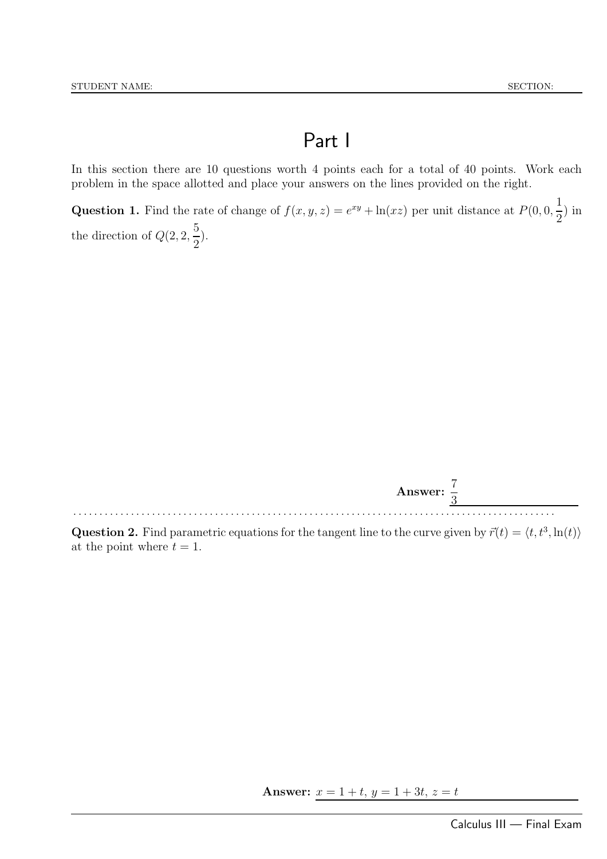## Part I

In this section there are 10 questions worth 4 points each for a total of 40 points. Work each problem in the space allotted and place your answers on the lines provided on the right.

**Question 1.** Find the rate of change of  $f(x, y, z) = e^{xy} + \ln(xz)$  per unit distance at  $P(0, 0, \frac{1}{2})$ 2 ) in the direction of  $Q(2, 2, \frac{5}{8})$ 2 ).



**Question 2.** Find parametric equations for the tangent line to the curve given by  $\vec{r}(t) = \langle t, t^3, \ln(t) \rangle$ at the point where  $t = 1$ .

Answer:  $x = 1 + t$ ,  $y = 1 + 3t$ ,  $z = t$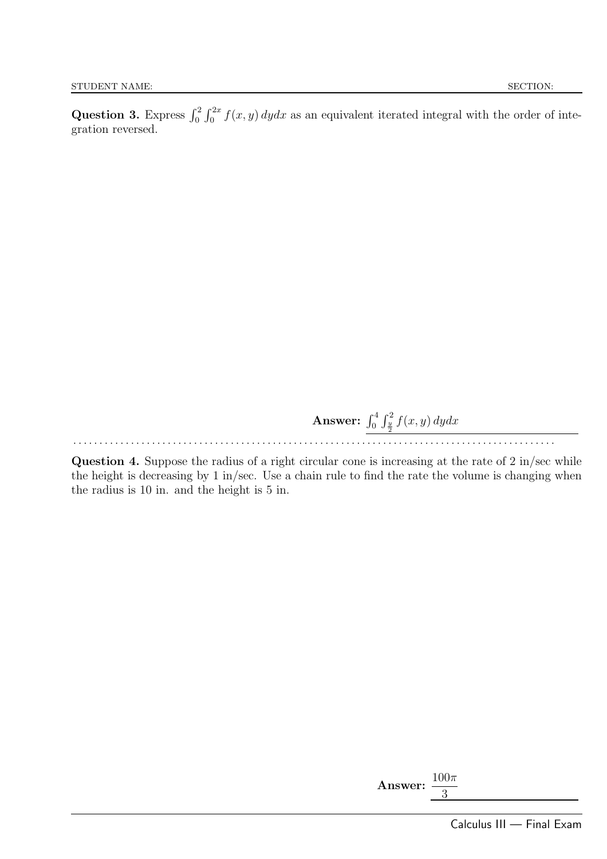Question 3. Express  $\int_0^2 \int_0^{2x} f(x, y) dy dx$  as an equivalent iterated integral with the order of integration reversed.

> **Answer:**  $\int_0^4 \int_{\frac{y}{2}}^2 f(x, y) dy dx$ . . . . . . . . . . . . . . . . . . . . . . . . . . . . . . . . . . . . . . . . . . . . . . . . . . . . . . . . . . . . . . . . . . . . . . . . . . . . . . . . . . . . . . . . . . . .

Question 4. Suppose the radius of a right circular cone is increasing at the rate of 2 in/sec while the height is decreasing by 1 in/sec. Use a chain rule to find the rate the volume is changing when the radius is 10 in. and the height is 5 in.

| Answer: |  |
|---------|--|
|         |  |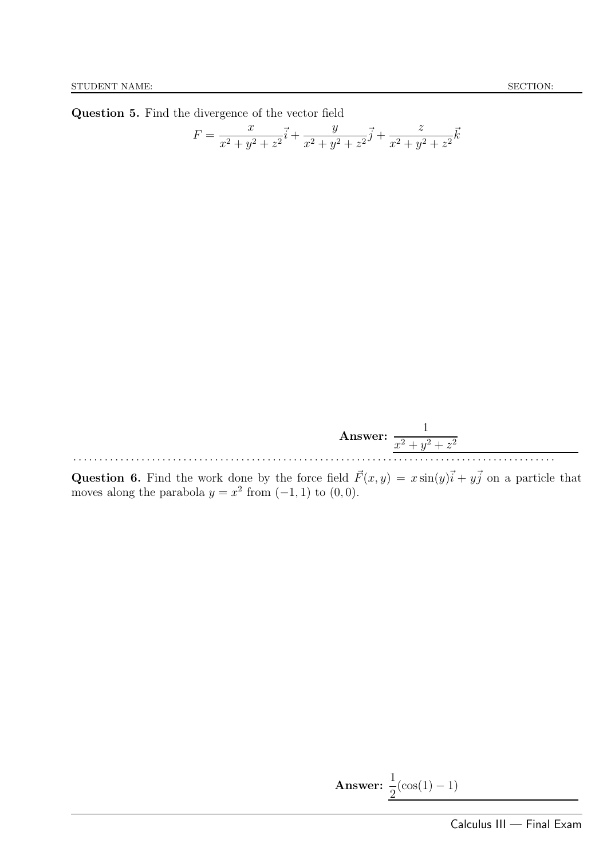Question 5. Find the divergence of the vector field

$$
F = \frac{x}{x^2 + y^2 + z^2}\vec{i} + \frac{y}{x^2 + y^2 + z^2}\vec{j} + \frac{z}{x^2 + y^2 + z^2}\vec{k}
$$



**Question 6.** Find the work done by the force field  $\vec{F}(x, y) = x \sin(y)\vec{i} + y\vec{j}$  on a particle that moves along the parabola  $y = x^2$  from  $(-1, 1)$  to  $(0, 0)$ .

**Answer:** 
$$
\frac{1}{2}(\cos(1) - 1)
$$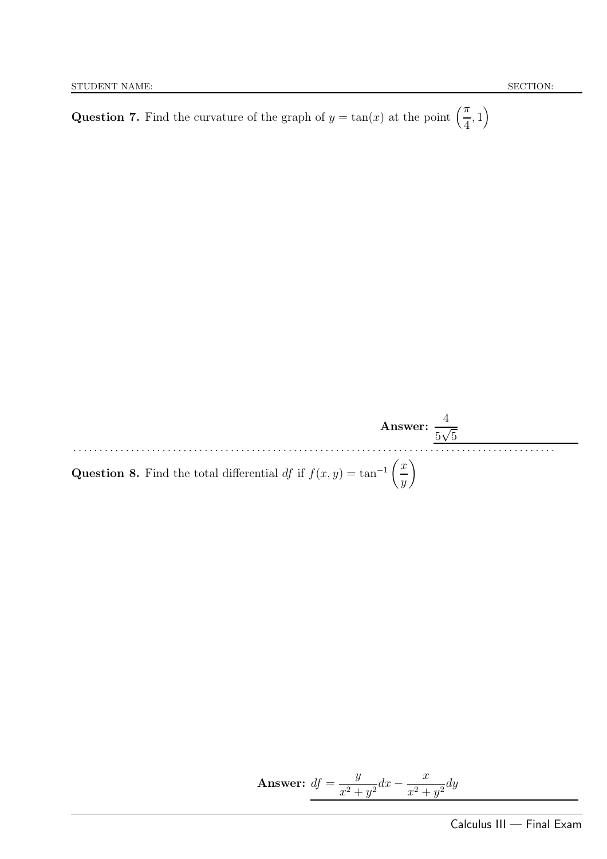**Question 7.** Find the curvature of the graph of  $y = \tan(x)$  at the point  $\left(\frac{\pi}{4}\right)$ 4  $, 1)$ 



**Answer:** 
$$
df = \frac{y}{x^2 + y^2} dx - \frac{x}{x^2 + y^2} dy
$$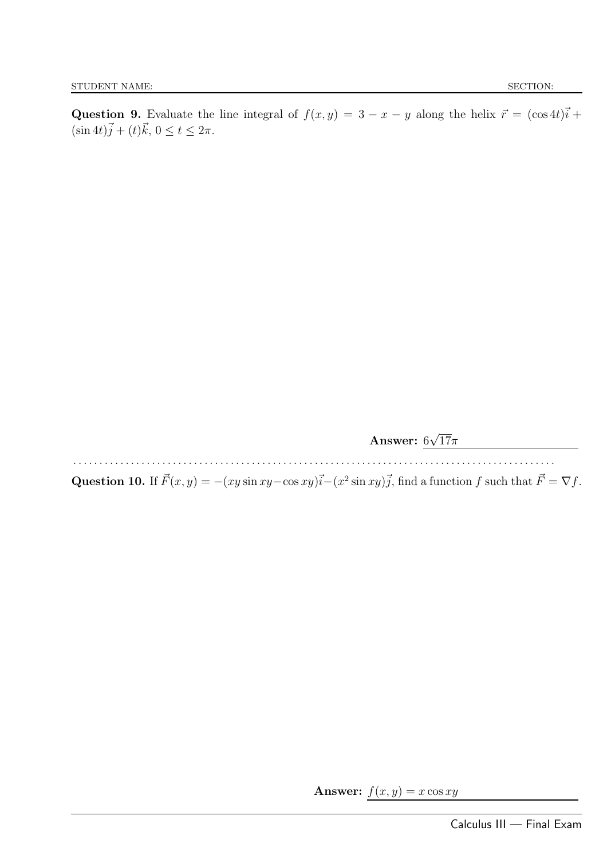Question 9. Evaluate the line integral of  $f(x, y) = 3 - x - y$  along the helix  $\vec{r} = (\cos 4t)\vec{i} +$  $(\sin 4t)\vec{j} + (t)\vec{k}, 0 \le t \le 2\pi.$ 

Answer:  $6\sqrt{17}\pi$ 

. . . . . . . . . . . . . . . . . . . . . . . . . . . . . . . . . . . . . . . . . . . . . . . . . . . . . . . . . . . . . . . . . . . . . . . . . . . . . . . . . . . . . . . . . . . .

Question 10. If  $\vec{F}(x, y) = -(xy \sin xy - \cos xy)\vec{i} - (x^2 \sin xy)\vec{j}$ , find a function f such that  $\vec{F} = \nabla f$ .

Answer:  $f(x, y) = x \cos xy$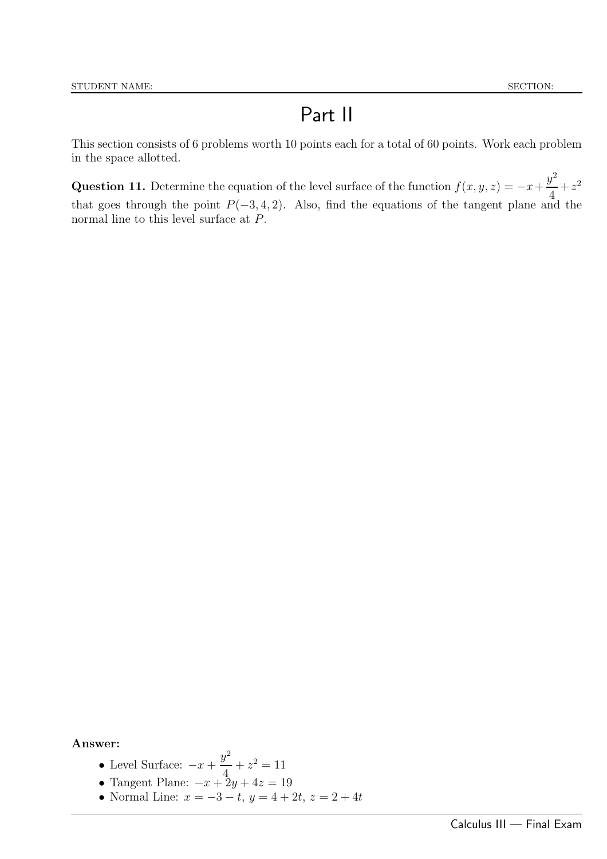## Part II

This section consists of 6 problems worth 10 points each for a total of 60 points. Work each problem in the space allotted.

Question 11. Determine the equation of the level surface of the function  $f(x, y, z) = -x +$  $y^2$ 4  $+z^2$ that goes through the point  $P(-3, 4, 2)$ . Also, find the equations of the tangent plane and the normal line to this level surface at P.

- Level Surface:  $-x+$  $y^2$  $+z^2=11$
- 4 • Tangent Plane:  $-x+2y+4z=19$
- Normal Line:  $x = -3 t$ ,  $y = 4 + 2t$ ,  $z = 2 + 4t$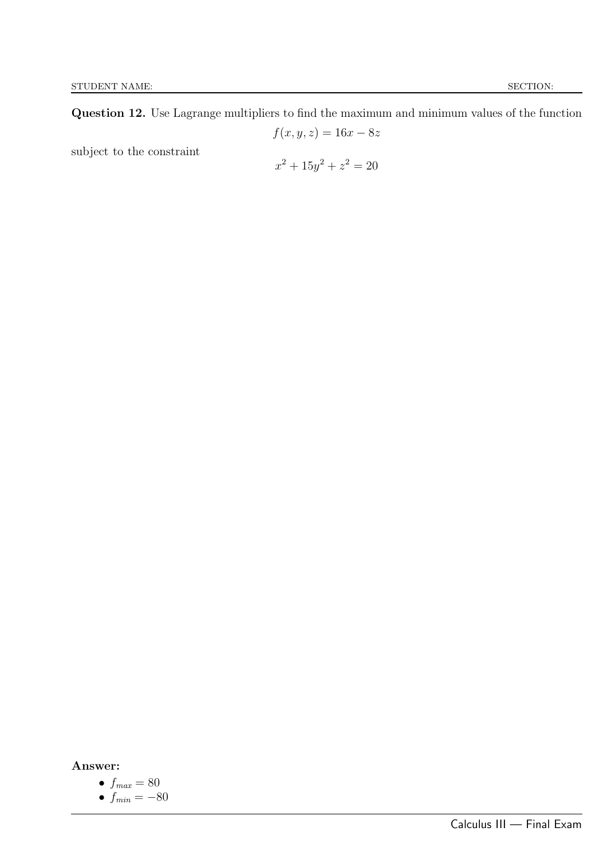Question 12. Use Lagrange multipliers to find the maximum and minimum values of the function

$$
f(x,y,z) = 16x - 8z
$$
 subject to the constraint

$$
x^2 + 15y^2 + z^2 = 20
$$

• 
$$
f_{max} = 80
$$

$$
\bullet \ f_{min} = -80
$$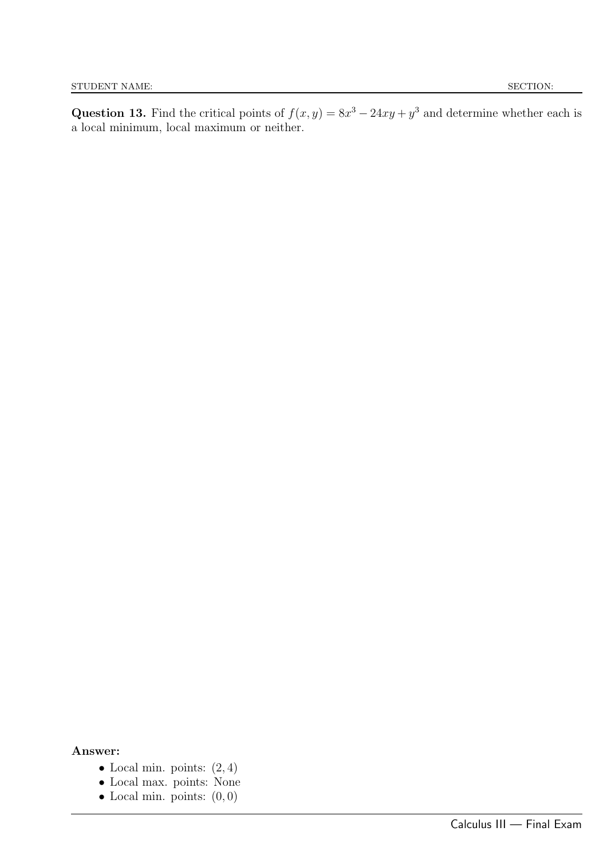Question 13. Find the critical points of  $f(x, y) = 8x^3 - 24xy + y^3$  and determine whether each is a local minimum, local maximum or neither.

- Local min. points:  $(2, 4)$
- Local max. points: None
- Local min. points:  $(0, 0)$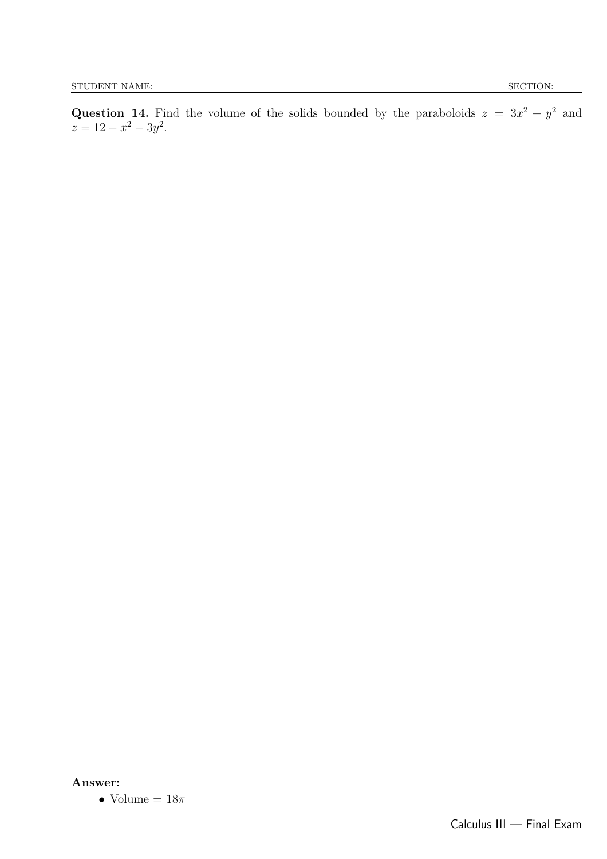$z = 12 - x^2 - 3y^2$ .

Answer:

 $\bullet$ Volume =  $18\pi$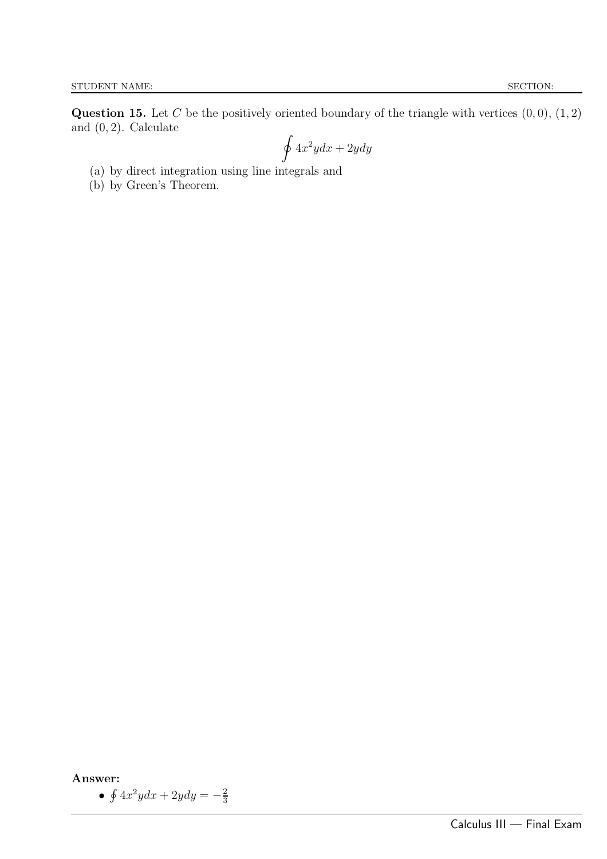**Question 15.** Let C be the positively oriented boundary of the triangle with vertices  $(0, 0)$ ,  $(1, 2)$ and  $(0, 2)$ . Calculate

$$
\oint 4x^2ydx + 2ydy
$$

- (a) by direct integration using line integrals and
- (b) by Green's Theorem.

Answer:

•  $\oint 4x^2ydx + 2ydy = -\frac{2}{3}$ 3